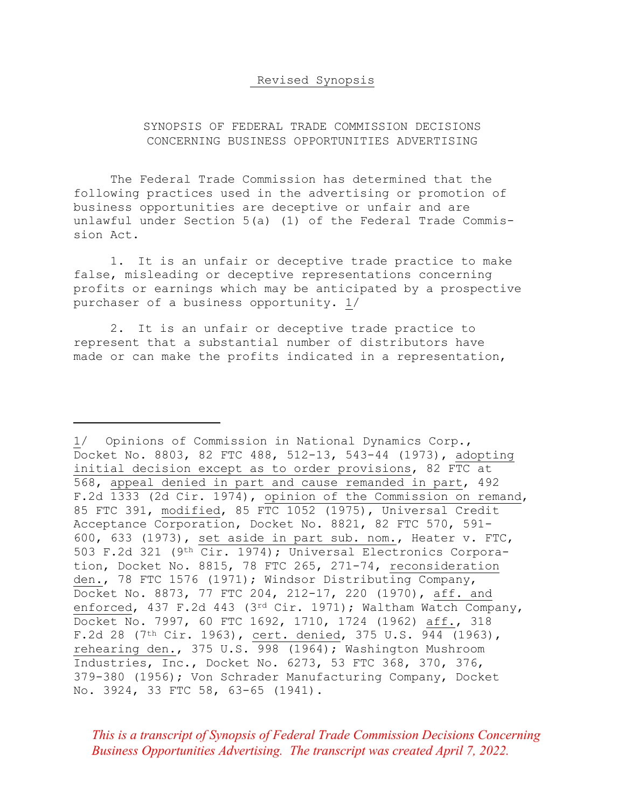## Revised Synopsis

## SYNOPSIS OF FEDERAL TRADE COMMISSION DECISIONS CONCERNING BUSINESS OPPORTUNITIES ADVERTISING

The Federal Trade Commission has determined that the following practices used in the advertising or promotion of business opportunities are deceptive or unfair and are unlawful under Section 5(a) (1) of the Federal Trade Commission Act.

1. It is an unfair or deceptive trade practice to make false, misleading or deceptive representations concerning profits or earnings which may be anticipated by a prospective purchaser of a business opportunity. 1/

2. It is an unfair or deceptive trade practice to represent that a substantial number of distributors have made or can make the profits indicated in a representation,

*This is a transcript of Synopsis of Federal Trade Commission Decisions Concerning Business Opportunities Advertising. The transcript was created April 7, 2022.* 

<sup>1/</sup> Opinions of Commission in National Dynamics Corp., Docket No. 8803, 82 FTC 488, 512-13, 543-44 (1973), adopting initial decision except as to order provisions, 82 FTC at 568, appeal denied in part and cause remanded in part, 492 F.2d 1333 (2d Cir. 1974), opinion of the Commission on remand, 85 FTC 391, modified, 85 FTC 1052 (1975), Universal Credit Acceptance Corporation, Docket No. 8821, 82 FTC 570, 591- 600, 633 (1973), set aside in part sub. nom., Heater v. FTC, 503 F.2d 321 (9th Cir. 1974); Universal Electronics Corporation, Docket No. 8815, 78 FTC 265, 271-74, reconsideration den., 78 FTC 1576 (1971); Windsor Distributing Company, Docket No. 8873, 77 FTC 204, 212-17, 220 (1970), aff. and enforced, 437 F.2d 443 (3rd Cir. 1971); Waltham Watch Company, Docket No. 7997, 60 FTC 1692, 1710, 1724 (1962) aff., 318 F.2d 28 (7th Cir. 1963), cert. denied, 375 U.S. 944 (1963), rehearing den., 375 U.S. 998 (1964); Washington Mushroom Industries, Inc., Docket No. 6273, 53 FTC 368, 370, 376, 379-380 (1956); Von Schrader Manufacturing Company, Docket No. 3924, 33 FTC 58, 63-65 (1941).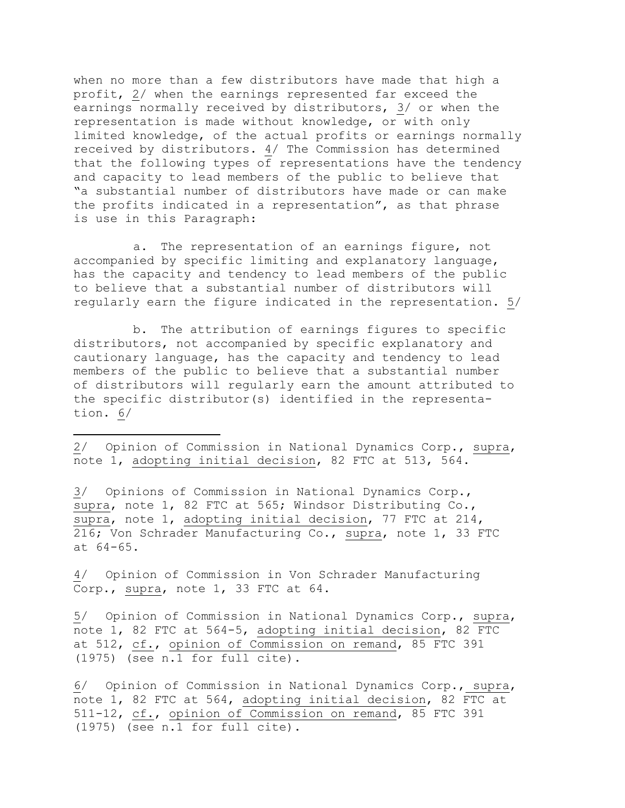when no more than a few distributors have made that high a profit, 2/ when the earnings represented far exceed the earnings normally received by distributors, 3/ or when the representation is made without knowledge, or with only limited knowledge, of the actual profits or earnings normally received by distributors. 4/ The Commission has determined that the following types of representations have the tendency and capacity to lead members of the public to believe that "a substantial number of distributors have made or can make the profits indicated in a representation", as that phrase is use in this Paragraph:

a. The representation of an earnings figure, not accompanied by specific limiting and explanatory language, has the capacity and tendency to lead members of the public to believe that a substantial number of distributors will regularly earn the figure indicated in the representation. 5/

b. The attribution of earnings figures to specific distributors, not accompanied by specific explanatory and cautionary language, has the capacity and tendency to lead members of the public to believe that a substantial number of distributors will regularly earn the amount attributed to the specific distributor(s) identified in the representation. 6/

2/ Opinion of Commission in National Dynamics Corp., supra, note 1, adopting initial decision, 82 FTC at 513, 564.

3/ Opinions of Commission in National Dynamics Corp., supra, note 1, 82 FTC at 565; Windsor Distributing Co., supra, note 1, adopting initial decision, 77 FTC at 214, 216; Von Schrader Manufacturing Co., supra, note 1, 33 FTC at 64-65.

4/ Opinion of Commission in Von Schrader Manufacturing Corp., supra, note 1, 33 FTC at 64.

5/ Opinion of Commission in National Dynamics Corp., supra, note 1, 82 FTC at 564-5, adopting initial decision, 82 FTC at 512, cf., opinion of Commission on remand, 85 FTC 391 (1975) (see n.1 for full cite).

6/ Opinion of Commission in National Dynamics Corp., supra, note 1, 82 FTC at 564, adopting initial decision, 82 FTC at 511-12, cf., opinion of Commission on remand, 85 FTC 391 (1975) (see n.1 for full cite).